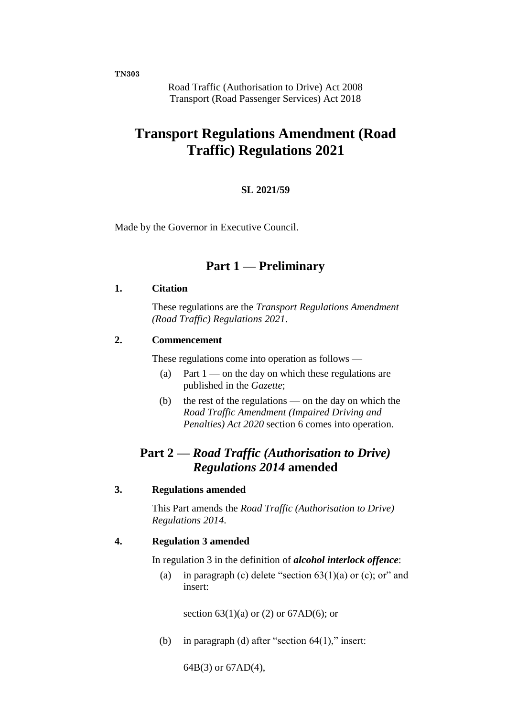**TN303**

Road Traffic (Authorisation to Drive) Act 2008 Transport (Road Passenger Services) Act 2018

# **Transport Regulations Amendment (Road Traffic) Regulations 2021**

#### **SL 2021/59**

Made by the Governor in Executive Council.

### **Part 1 — Preliminary**

#### **1. Citation**

These regulations are the *Transport Regulations Amendment (Road Traffic) Regulations 2021*.

#### **2. Commencement**

These regulations come into operation as follows —

- (a) Part  $1$  on the day on which these regulations are published in the *Gazette*;
- (b) the rest of the regulations on the day on which the *Road Traffic Amendment (Impaired Driving and Penalties) Act 2020* section 6 comes into operation.

# **Part 2 —** *Road Traffic (Authorisation to Drive) Regulations 2014* **amended**

#### **3. Regulations amended**

This Part amends the *Road Traffic (Authorisation to Drive) Regulations 2014*.

#### **4. Regulation 3 amended**

In regulation 3 in the definition of *alcohol interlock offence*:

(a) in paragraph (c) delete "section  $63(1)(a)$  or (c); or" and insert:

section  $63(1)(a)$  or  $(2)$  or  $67AD(6)$ ; or

(b) in paragraph (d) after "section  $64(1)$ ," insert:

64B(3) or 67AD(4),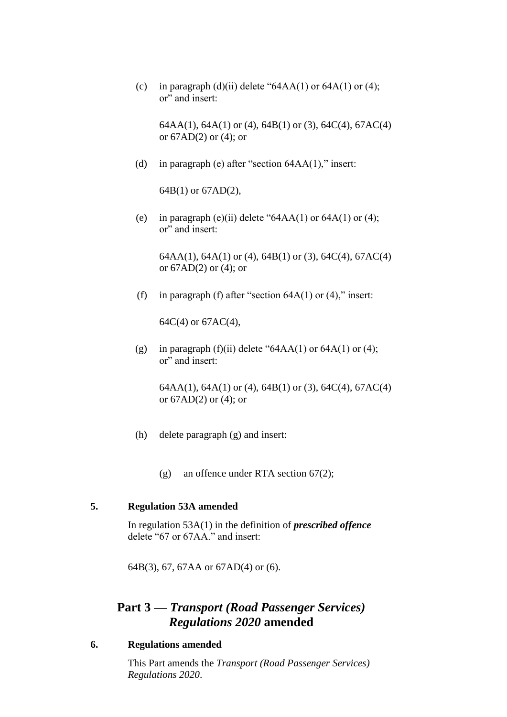(c) in paragraph (d)(ii) delete " $64AA(1)$  or  $64A(1)$  or (4); or" and insert:

64AA(1), 64A(1) or (4), 64B(1) or (3), 64C(4), 67AC(4) or 67AD(2) or (4); or

(d) in paragraph (e) after "section 64AA(1)," insert:

64B(1) or 67AD(2),

(e) in paragraph (e)(ii) delete " $64AA(1)$  or  $64A(1)$  or  $(4)$ ; or" and insert:

64AA(1), 64A(1) or (4), 64B(1) or (3), 64C(4), 67AC(4) or 67AD(2) or (4); or

(f) in paragraph (f) after "section  $64A(1)$  or  $(4)$ ," insert:

64C(4) or 67AC(4),

(g) in paragraph (f)(ii) delete " $64AA(1)$  or  $64A(1)$  or  $(4)$ ; or" and insert:

> 64AA(1), 64A(1) or (4), 64B(1) or (3), 64C(4), 67AC(4) or 67AD(2) or (4); or

- (h) delete paragraph (g) and insert:
	- (g) an offence under RTA section 67(2);

#### **5. Regulation 53A amended**

In regulation 53A(1) in the definition of *prescribed offence* delete "67 or 67AA." and insert:

64B(3), 67, 67AA or 67AD(4) or (6).

## **Part 3 —** *Transport (Road Passenger Services) Regulations 2020* **amended**

#### **6. Regulations amended**

This Part amends the *Transport (Road Passenger Services) Regulations 2020*.